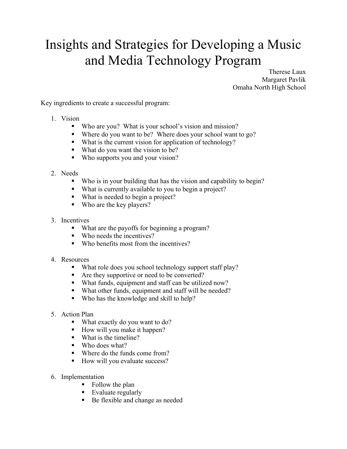## Insights and Strategies for Developing a Music and Media Technology Program

Therese Laux Margaret Pavlik Omaha North High School

Key ingredients to create a successful program:

- 1. Vision
	- Who are you? What is your school's vision and mission?
	- Where do you want to be? Where does your school want to go?
	- What is the current vision for application of technology?
	- What do you want the vision to be?
	- Who supports you and your vision?
- 2. Needs
	- Who is in your building that has the vision and capability to begin?
	- What is currently available to you to begin a project?
	- What is needed to begin a project?
	- Who are the key players?
- 3. Incentives
	- What are the payoffs for beginning a program?
	- Who needs the incentives?
	- Who benefits most from the incentives?
- 4. Resources
	- What role does you school technology support staff play?
	- Are they supportive or need to be converted?
	- What funds, equipment and staff can be utilized now?
	- What other funds, equipment and staff will be needed?
	- Who has the knowledge and skill to help?
- 5. Action Plan
	- What exactly do you want to do?
	- $\blacksquare$  How will you make it happen?
	- What is the timeline?
	- Who does what?
	- Where do the funds come from?
	- How will you evaluate success?
- 6. Implementation
	- Follow the plan
	- Evaluate regularly
	- Be flexible and change as needed